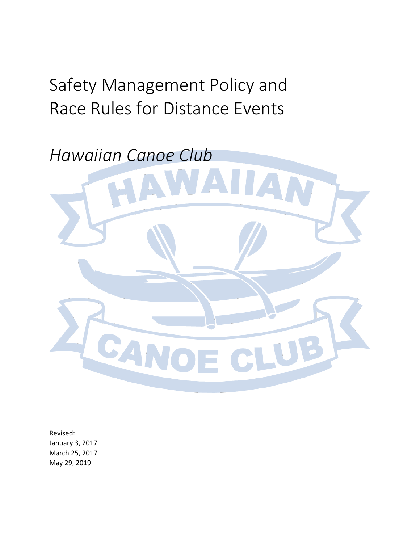# Safety Management Policy and Race Rules for Distance Events



Revised: January 3, 2017 March 25, 2017 May 29, 2019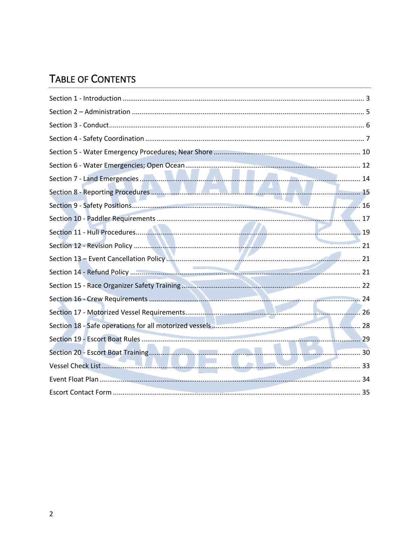### **TABLE OF CONTENTS**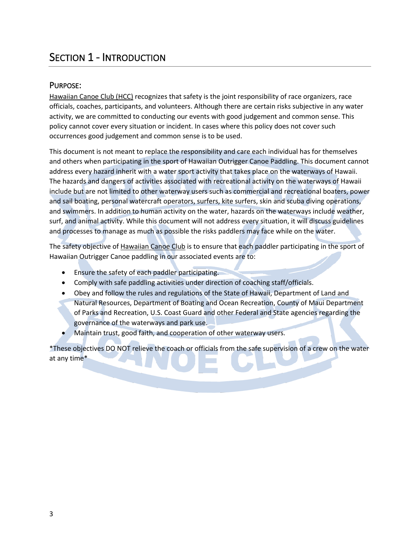### **SECTION 1 - INTRODUCTION**

#### PURPOSE:

Hawaiian Canoe Club (HCC) recognizes that safety is the joint responsibility of race organizers, race officials, coaches, participants, and volunteers. Although there are certain risks subjective in any water activity, we are committed to conducting our events with good judgement and common sense. This policy cannot cover every situation or incident. In cases where this policy does not cover such occurrences good judgement and common sense is to be used.

This document is not meant to replace the responsibility and care each individual has for themselves and others when participating in the sport of Hawaiian Outrigger Canoe Paddling. This document cannot address every hazard inherit with a water sport activity that takes place on the waterways of Hawaii. The hazards and dangers of activities associated with recreational activity on the waterways of Hawaii include but are not limited to other waterway users such as commercial and recreational boaters, power and sail boating, personal watercraft operators, surfers, kite surfers, skin and scuba diving operations, and swimmers. In addition to human activity on the water, hazards on the waterways include weather, surf, and animal activity. While this document will not address every situation, it will discuss guidelines and processes to manage as much as possible the risks paddlers may face while on the water.

The safety objective of Hawaiian Canoe Club is to ensure that each paddler participating in the sport of Hawaiian Outrigger Canoe paddling in our associated events are to:

- Ensure the safety of each paddler participating.
- Comply with safe paddling activities under direction of coaching staff/officials.
- Obey and follow the rules and regulations of the State of Hawaii, Department of Land and Natural Resources, Department of Boating and Ocean Recreation, County of Maui Department of Parks and Recreation, U.S. Coast Guard and other Federal and State agencies regarding the governance of the waterways and park use.
- Maintain trust, good faith, and cooperation of other waterway users.

\*These objectives DO NOT relieve the coach or officials from the safe supervision of a crew on the water at any time\*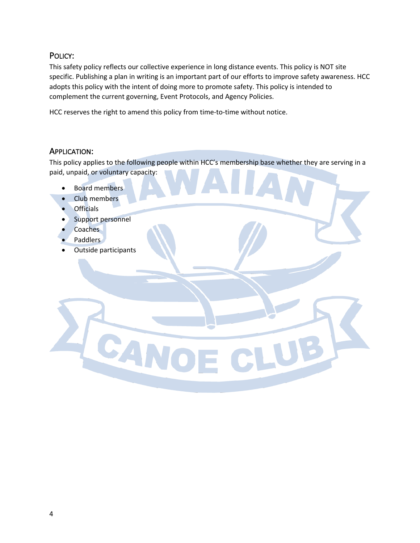#### POLICY:

This safety policy reflects our collective experience in long distance events. This policy is NOT site specific. Publishing a plan in writing is an important part of our efforts to improve safety awareness. HCC adopts this policy with the intent of doing more to promote safety. This policy is intended to complement the current governing, Event Protocols, and Agency Policies.

HCC reserves the right to amend this policy from time-to-time without notice.

#### APPLICATION:

This policy applies to the following people within HCC's membership base whether they are serving in a paid, unpaid, or voluntary capacity:

- Board members
- Club members
- Officials
- Support personnel
- Coaches
- Paddlers
- Outside participants

**SAN**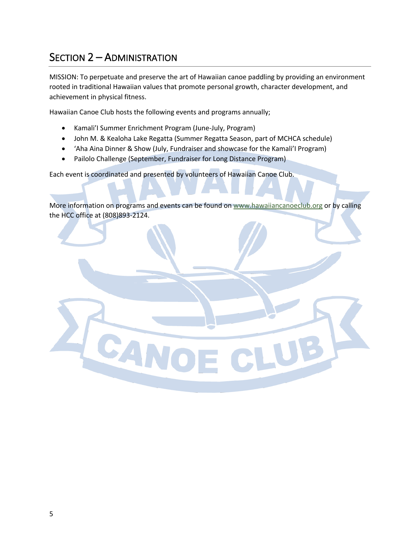### SECTION 2 – ADMINISTRATION

MISSION: To perpetuate and preserve the art of Hawaiian canoe paddling by providing an environment rooted in traditional Hawaiian values that promote personal growth, character development, and achievement in physical fitness.

Hawaiian Canoe Club hosts the following events and programs annually;

• Kamali'I Summer Enrichment Program (June-July, Program)

CANC

- John M. & Kealoha Lake Regatta (Summer Regatta Season, part of MCHCA schedule)
- 'Aha Aina Dinner & Show (July, Fundraiser and showcase for the Kamali'I Program)
- Pailolo Challenge (September, Fundraiser for Long Distance Program)

Each event is coordinated and presented by volunteers of Hawaiian Canoe Club.

More information on programs and events can be found on www.hawaiiancanoeclub.org or by calling the HCC office at (808)893-2124.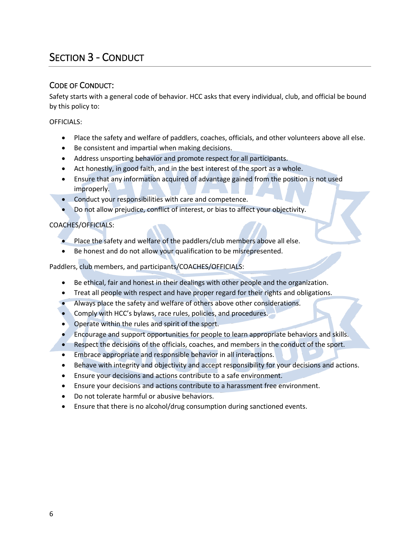### SECTION 3 - CONDUCT

#### CODE OF CONDUCT:

Safety starts with a general code of behavior. HCC asks that every individual, club, and official be bound by this policy to:

OFFICIALS:

- Place the safety and welfare of paddlers, coaches, officials, and other volunteers above all else.
- Be consistent and impartial when making decisions.
- Address unsporting behavior and promote respect for all participants.
- Act honestly, in good faith, and in the best interest of the sport as a whole.
- Ensure that any information acquired of advantage gained from the position is not used improperly.
- Conduct your responsibilities with care and competence.
- Do not allow prejudice, conflict of interest, or bias to affect your objectivity.

#### COACHES/OFFICIALS:

- Place the safety and welfare of the paddlers/club members above all else.
- Be honest and do not allow your qualification to be misrepresented.

Paddlers, club members, and participants/COACHES/OFFICIALS:

- Be ethical, fair and honest in their dealings with other people and the organization.
- Treat all people with respect and have proper regard for their rights and obligations.
- Always place the safety and welfare of others above other considerations.
- Comply with HCC's bylaws, race rules, policies, and procedures.
- Operate within the rules and spirit of the sport.
- Encourage and support opportunities for people to learn appropriate behaviors and skills.
- Respect the decisions of the officials, coaches, and members in the conduct of the sport.
- Embrace appropriate and responsible behavior in all interactions.
- Behave with integrity and objectivity and accept responsibility for your decisions and actions.
- Ensure your decisions and actions contribute to a safe environment.
- Ensure your decisions and actions contribute to a harassment free environment.
- Do not tolerate harmful or abusive behaviors.
- Ensure that there is no alcohol/drug consumption during sanctioned events.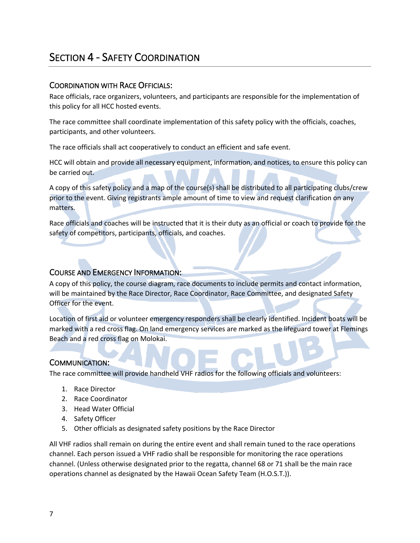### SECTION 4 - SAFETY COORDINATION

#### COORDINATION WITH RACE OFFICIALS:

Race officials, race organizers, volunteers, and participants are responsible for the implementation of this policy for all HCC hosted events.

The race committee shall coordinate implementation of this safety policy with the officials, coaches, participants, and other volunteers.

The race officials shall act cooperatively to conduct an efficient and safe event.

HCC will obtain and provide all necessary equipment, information, and notices, to ensure this policy can be carried out.

A copy of this safety policy and a map of the course(s) shall be distributed to all participating clubs/crew prior to the event. Giving registrants ample amount of time to view and request clarification on any matters.

Race officials and coaches will be instructed that it is their duty as an official or coach to provide for the safety of competitors, participants, officials, and coaches.

#### COURSE AND EMERGENCY INFORMATION:

A copy of this policy, the course diagram, race documents to include permits and contact information, will be maintained by the Race Director, Race Coordinator, Race Committee, and designated Safety Officer for the event.

Location of first aid or volunteer emergency responders shall be clearly identified. Incident boats will be marked with a red cross flag. On land emergency services are marked as the lifeguard tower at Flemings Beach and a red cross flag on Molokai.

#### COMMUNICATION:

The race committee will provide handheld VHF radios for the following officials and volunteers:

- 1. Race Director
- 2. Race Coordinator
- 3. Head Water Official
- 4. Safety Officer
- 5. Other officials as designated safety positions by the Race Director

All VHF radios shall remain on during the entire event and shall remain tuned to the race operations channel. Each person issued a VHF radio shall be responsible for monitoring the race operations channel. (Unless otherwise designated prior to the regatta, channel 68 or 71 shall be the main race operations channel as designated by the Hawaii Ocean Safety Team (H.O.S.T.)).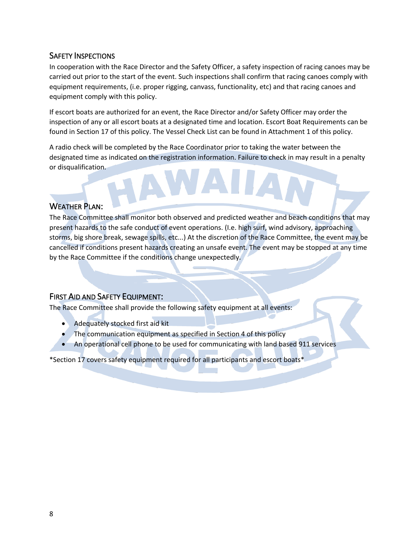#### SAFETY INSPECTIONS

In cooperation with the Race Director and the Safety Officer, a safety inspection of racing canoes may be carried out prior to the start of the event. Such inspections shall confirm that racing canoes comply with equipment requirements, (i.e. proper rigging, canvass, functionality, etc) and that racing canoes and equipment comply with this policy.

If escort boats are authorized for an event, the Race Director and/or Safety Officer may order the inspection of any or all escort boats at a designated time and location. Escort Boat Requirements can be found in Section 17 of this policy. The Vessel Check List can be found in Attachment 1 of this policy.

A radio check will be completed by the Race Coordinator prior to taking the water between the designated time as indicated on the registration information. Failure to check in may result in a penalty or disqualification.

#### WEATHER PLAN:

The Race Committee shall monitor both observed and predicted weather and beach conditions that may present hazards to the safe conduct of event operations. (I.e. high surf, wind advisory, approaching storms, big shore break, sewage spills, etc...) At the discretion of the Race Committee, the event may be cancelled if conditions present hazards creating an unsafe event. The event may be stopped at any time by the Race Committee if the conditions change unexpectedly.

#### FIRST AID AND SAFETY EQUIPMENT:

The Race Committee shall provide the following safety equipment at all events:

- Adequately stocked first aid kit
- The communication equipment as specified in Section 4 of this policy
- An operational cell phone to be used for communicating with land based 911 services

\*Section 17 covers safety equipment required for all participants and escort boats\*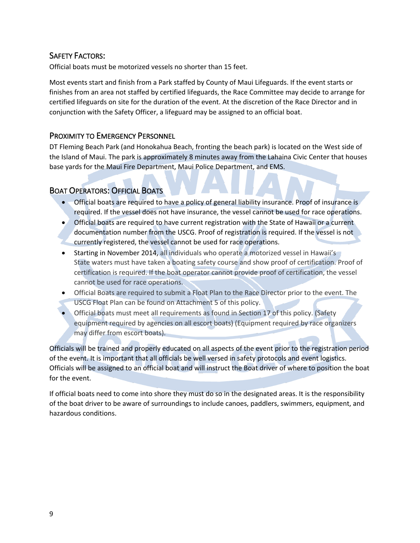#### SAFETY FACTORS:

Official boats must be motorized vessels no shorter than 15 feet.

Most events start and finish from a Park staffed by County of Maui Lifeguards. If the event starts or finishes from an area not staffed by certified lifeguards, the Race Committee may decide to arrange for certified lifeguards on site for the duration of the event. At the discretion of the Race Director and in conjunction with the Safety Officer, a lifeguard may be assigned to an official boat.

#### PROXIMITY TO EMERGENCY PERSONNEL

DT Fleming Beach Park (and Honokahua Beach, fronting the beach park) is located on the West side of the Island of Maui. The park is approximately 8 minutes away from the Lahaina Civic Center that houses base yards for the Maui Fire Department, Maui Police Department, and EMS.

#### BOAT OPERATORS: OFFICIAL BOATS

- Official boats are required to have a policy of general liability insurance. Proof of insurance is required. If the vessel does not have insurance, the vessel cannot be used for race operations.
- Official boats are required to have current registration with the State of Hawaii or a current documentation number from the USCG. Proof of registration is required. If the vessel is not currently registered, the vessel cannot be used for race operations.
- Starting in November 2014, all individuals who operate a motorized vessel in Hawaii's State waters must have taken a boating safety course and show proof of certification. Proof of certification is required. If the boat operator cannot provide proof of certification, the vessel cannot be used for race operations.
- Official Boats are required to submit a Float Plan to the Race Director prior to the event. The USCG Float Plan can be found on Attachment 5 of this policy.
- Official boats must meet all requirements as found in Section 17 of this policy. (Safety equipment required by agencies on all escort boats) (Equipment required by race organizers may differ from escort boats).

Officials will be trained and properly educated on all aspects of the event prior to the registration period of the event. It is important that all officials be well versed in safety protocols and event logistics. Officials will be assigned to an official boat and will instruct the Boat driver of where to position the boat for the event.

If official boats need to come into shore they must do so in the designated areas. It is the responsibility of the boat driver to be aware of surroundings to include canoes, paddlers, swimmers, equipment, and hazardous conditions.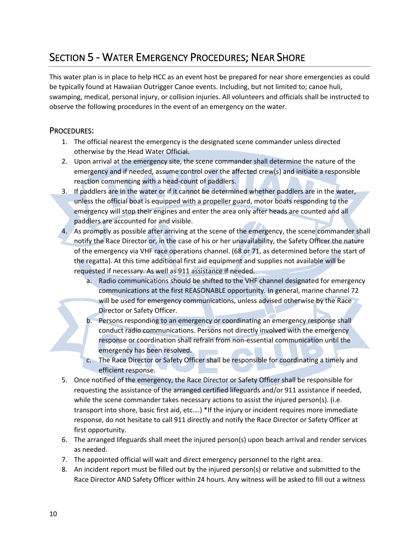### SECTION 5 - WATER EMERGENCY PROCEDURES; NEAR SHORE

This water plan is in place to help HCC as an event host be prepared for near shore emergencies as could be typically found at Hawaiian Outrigger Canoe events. Including, but not limited to; canoe huli, swamping, medical, personal injury, or collision injuries. All volunteers and officials shall be instructed to observe the following procedures in the event of an emergency on the water.

#### PROCEDURES:

- 1. The official nearest the emergency is the designated scene commander unless directed otherwise by the Head Water Official.
- 2. Upon arrival at the emergency site, the scene commander shall determine the nature of the emergency and if needed, assume control over the affected crew(s) and initiate a responsible reaction commencing with a head-count of paddlers.
- 3. If paddlers are in the water or if it cannot be determined whether paddlers are in the water, unless the official boat is equipped with a propeller guard, motor boats responding to the emergency will stop their engines and enter the area only after heads are counted and all paddlers are accounted for and visible.
- 4. As promptly as possible after arriving at the scene of the emergency, the scene commander shall notify the Race Director or, in the case of his or her unavailability, the Safety Officer the nature of the emergency via VHF race operations channel. (68 or 71, as determined before the start of the regatta). At this time additional first aid equipment and supplies not available will be requested if necessary. As well as 911 assistance if needed.
	- a. Radio communications should be shifted to the VHF channel designated for emergency communications at the first REASONABLE opportunity. In general, marine channel 72 will be used for emergency communications, unless advised otherwise by the Race Director or Safety Officer.
	- b. Persons responding to an emergency or coordinating an emergency response shall conduct radio communications. Persons not directly involved with the emergency response or coordination shall refrain from non-essential communication until the emergency has been resolved.
	- c. The Race Director or Safety Officer shall be responsible for coordinating a timely and efficient response.
- 5. Once notified of the emergency, the Race Director or Safety Officer shall be responsible for requesting the assistance of the arranged certified lifeguards and/or 911 assistance if needed, while the scene commander takes necessary actions to assist the injured person(s). (i.e. transport into shore, basic first aid, etc….) \*If the injury or incident requires more immediate response, do not hesitate to call 911 directly and notify the Race Director or Safety Officer at first opportunity.
- 6. The arranged lifeguards shall meet the injured person(s) upon beach arrival and render services as needed.
- 7. The appointed official will wait and direct emergency personnel to the right area.
- 8. An incident report must be filled out by the injured person(s) or relative and submitted to the Race Director AND Safety Officer within 24 hours. Any witness will be asked to fill out a witness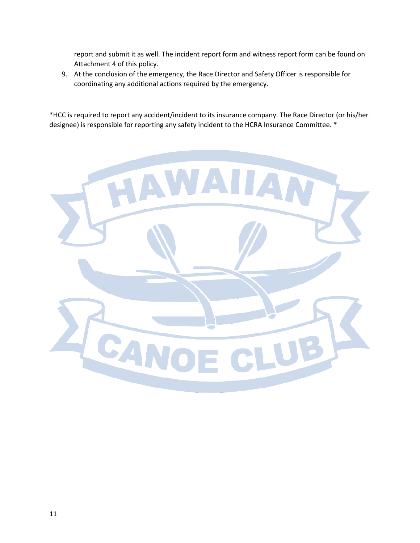report and submit it as well. The incident report form and witness report form can be found on Attachment 4 of this policy.

9. At the conclusion of the emergency, the Race Director and Safety Officer is responsible for coordinating any additional actions required by the emergency.

\*HCC is required to report any accident/incident to its insurance company. The Race Director (or his/her designee) is responsible for reporting any safety incident to the HCRA Insurance Committee. \*

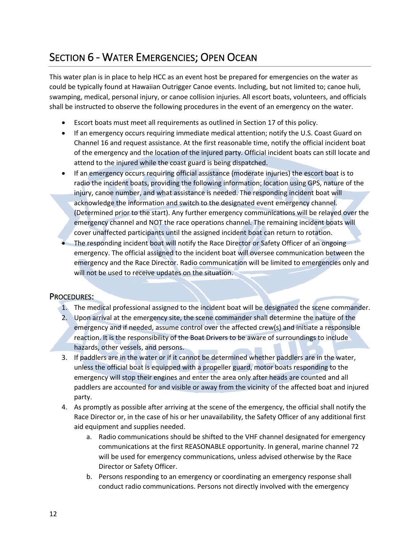### SECTION 6 - WATER EMERGENCIES; OPEN OCEAN

This water plan is in place to help HCC as an event host be prepared for emergencies on the water as could be typically found at Hawaiian Outrigger Canoe events. Including, but not limited to; canoe huli, swamping, medical, personal injury, or canoe collision injuries. All escort boats, volunteers, and officials shall be instructed to observe the following procedures in the event of an emergency on the water.

- Escort boats must meet all requirements as outlined in Section 17 of this policy.
- If an emergency occurs requiring immediate medical attention; notify the U.S. Coast Guard on Channel 16 and request assistance. At the first reasonable time, notify the official incident boat of the emergency and the location of the injured party. Official incident boats can still locate and attend to the injured while the coast guard is being dispatched.
- If an emergency occurs requiring official assistance (moderate injuries) the escort boat is to radio the incident boats, providing the following information; location using GPS, nature of the injury, canoe number, and what assistance is needed. The responding incident boat will acknowledge the information and switch to the designated event emergency channel. (Determined prior to the start). Any further emergency communications will be relayed over the emergency channel and NOT the race operations channel. The remaining incident boats will cover unaffected participants until the assigned incident boat can return to rotation.
- The responding incident boat will notify the Race Director or Safety Officer of an ongoing emergency. The official assigned to the incident boat will oversee communication between the emergency and the Race Director. Radio communication will be limited to emergencies only and will not be used to receive updates on the situation.

#### PROCEDURES:

- 1. The medical professional assigned to the incident boat will be designated the scene commander.
- 2. Upon arrival at the emergency site, the scene commander shall determine the nature of the emergency and if needed, assume control over the affected crew(s) and initiate a responsible reaction. It is the responsibility of the Boat Drivers to be aware of surroundings to include hazards, other vessels, and persons.
- 3. If paddlers are in the water or if it cannot be determined whether paddlers are in the water, unless the official boat is equipped with a propeller guard, motor boats responding to the emergency will stop their engines and enter the area only after heads are counted and all paddlers are accounted for and visible or away from the vicinity of the affected boat and injured party.
- 4. As promptly as possible after arriving at the scene of the emergency, the official shall notify the Race Director or, in the case of his or her unavailability, the Safety Officer of any additional first aid equipment and supplies needed.
	- a. Radio communications should be shifted to the VHF channel designated for emergency communications at the first REASONABLE opportunity. In general, marine channel 72 will be used for emergency communications, unless advised otherwise by the Race Director or Safety Officer.
	- b. Persons responding to an emergency or coordinating an emergency response shall conduct radio communications. Persons not directly involved with the emergency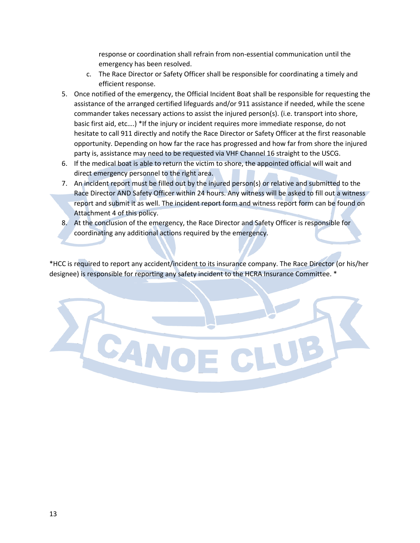response or coordination shall refrain from non-essential communication until the emergency has been resolved.

- c. The Race Director or Safety Officer shall be responsible for coordinating a timely and efficient response.
- 5. Once notified of the emergency, the Official Incident Boat shall be responsible for requesting the assistance of the arranged certified lifeguards and/or 911 assistance if needed, while the scene commander takes necessary actions to assist the injured person(s). (i.e. transport into shore, basic first aid, etc….) \*If the injury or incident requires more immediate response, do not hesitate to call 911 directly and notify the Race Director or Safety Officer at the first reasonable opportunity. Depending on how far the race has progressed and how far from shore the injured party is, assistance may need to be requested via VHF Channel 16 straight to the USCG.
- 6. If the medical boat is able to return the victim to shore, the appointed official will wait and direct emergency personnel to the right area.
- 7. An incident report must be filled out by the injured person(s) or relative and submitted to the Race Director AND Safety Officer within 24 hours. Any witness will be asked to fill out a witness report and submit it as well. The incident report form and witness report form can be found on Attachment 4 of this policy.
- 8. At the conclusion of the emergency, the Race Director and Safety Officer is responsible for coordinating any additional actions required by the emergency.

\*HCC is required to report any accident/incident to its insurance company. The Race Director (or his/her designee) is responsible for reporting any safety incident to the HCRA Insurance Committee. \*

 $\overline{\mathcal{A}}$   $\mathbb{R}$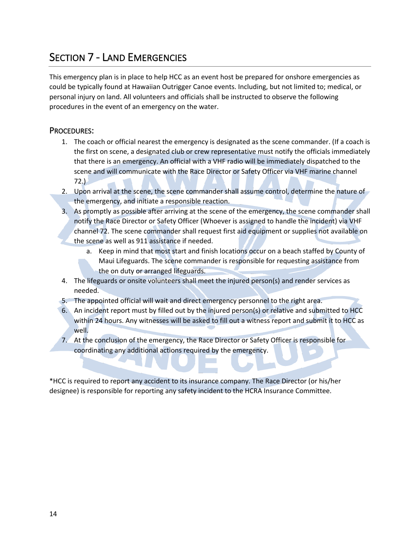### SECTION 7 - LAND EMERGENCIES

This emergency plan is in place to help HCC as an event host be prepared for onshore emergencies as could be typically found at Hawaiian Outrigger Canoe events. Including, but not limited to; medical, or personal injury on land. All volunteers and officials shall be instructed to observe the following procedures in the event of an emergency on the water.

#### PROCEDURES:

- 1. The coach or official nearest the emergency is designated as the scene commander. (If a coach is the first on scene, a designated club or crew representative must notify the officials immediately that there is an emergency. An official with a VHF radio will be immediately dispatched to the scene and will communicate with the Race Director or Safety Officer via VHF marine channel  $72.$ )
- 2. Upon arrival at the scene, the scene commander shall assume control, determine the nature of the emergency, and initiate a responsible reaction.
- 3. As promptly as possible after arriving at the scene of the emergency, the scene commander shall notify the Race Director or Safety Officer (Whoever is assigned to handle the incident) via VHF channel 72. The scene commander shall request first aid equipment or supplies not available on
	- the scene as well as 911 assistance if needed.
		- a. Keep in mind that most start and finish locations occur on a beach staffed by County of Maui Lifeguards. The scene commander is responsible for requesting assistance from the on duty or arranged lifeguards.
- 4. The lifeguards or onsite volunteers shall meet the injured person(s) and render services as needed.
- 5. The appointed official will wait and direct emergency personnel to the right area.
- 6. An incident report must by filled out by the injured person(s) or relative and submitted to HCC within 24 hours. Any witnesses will be asked to fill out a witness report and submit it to HCC as well.
- 7. At the conclusion of the emergency, the Race Director or Safety Officer is responsible for coordinating any additional actions required by the emergency.

\*HCC is required to report any accident to its insurance company. The Race Director (or his/her designee) is responsible for reporting any safety incident to the HCRA Insurance Committee.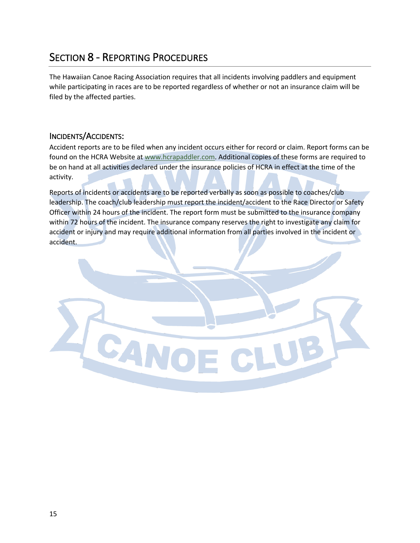### SECTION 8 - REPORTING PROCEDURES

SAN

The Hawaiian Canoe Racing Association requires that all incidents involving paddlers and equipment while participating in races are to be reported regardless of whether or not an insurance claim will be filed by the affected parties.

#### INCIDENTS/ACCIDENTS:

Accident reports are to be filed when any incident occurs either for record or claim. Report forms can be found on the HCRA Website at www.hcrapaddler.com. Additional copies of these forms are required to be on hand at all activities declared under the insurance policies of HCRA in effect at the time of the activity.

Reports of incidents or accidents are to be reported verbally as soon as possible to coaches/club leadership. The coach/club leadership must report the incident/accident to the Race Director or Safety Officer within 24 hours of the incident. The report form must be submitted to the insurance company within 72 hours of the incident. The insurance company reserves the right to investigate any claim for accident or injury and may require additional information from all parties involved in the incident or accident.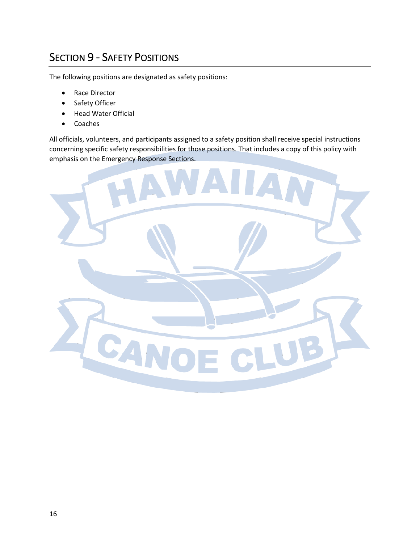### SECTION 9 - SAFETY POSITIONS

The following positions are designated as safety positions:

- Race Director
- Safety Officer
- Head Water Official
- Coaches

All officials, volunteers, and participants assigned to a safety position shall receive special instructions concerning specific safety responsibilities for those positions. That includes a copy of this policy with emphasis on the Emergency Response Sections.

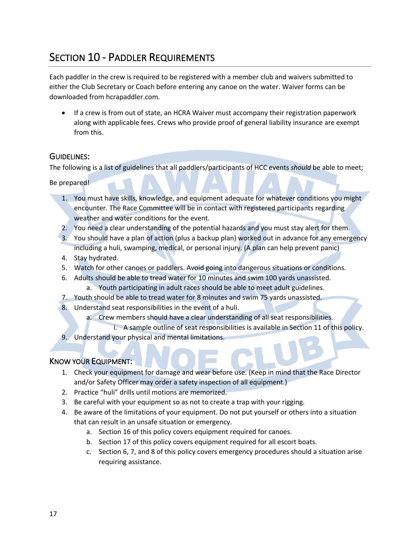### SECTION 10 - PADDLER REQUIREMENTS

Each paddler in the crew is required to be registered with a member club and waivers submitted to either the Club Secretary or Coach before entering any canoe on the water. Waiver forms can be downloaded from hcrapaddler.com.

• If a crew is from out of state, an HCRA Waiver must accompany their registration paperwork along with applicable fees. Crews who provide proof of general liability insurance are exempt from this.

#### GUIDELINES:

The following is a list of guidelines that all paddlers/participants of HCC events *should* be able to meet;

Be prepared!

- 1. You must have skills, knowledge, and equipment adequate for whatever conditions you might encounter. The Race Committee will be in contact with registered participants regarding weather and water conditions for the event.
- 2. You need a clear understanding of the potential hazards and you must stay alert for them.
- 3. You should have a plan of action (plus a backup plan) worked out in advance for any emergency including a huli, swamping, medical, or personal injury. (A plan can help prevent panic)
- 4. Stay hydrated.
- 5. Watch for other canoes or paddlers. Avoid going into dangerous situations or conditions.
- 6. Adults should be able to tread water for 10 minutes and swim 100 yards unassisted.
	- a. Youth participating in adult races should be able to meet adult guidelines.
- 7. Youth should be able to tread water for 8 minutes and swim 75 yards unassisted.
- 8. Understand seat responsibilities in the event of a huli.
	- a. Crew members should have a clear understanding of all seat responsibilities.
	- i. A sample outline of seat responsibilities is available in Section 11 of this policy.
- 9. Understand your physical and mental limitations.

#### KNOW YOUR EQUIPMENT:

- 1. Check your equipment for damage and wear before use. (Keep in mind that the Race Director and/or Safety Officer may order a safety inspection of all equipment.)
- 2. Practice "huli" drills until motions are memorized.
- 3. Be careful with your equipment so as not to create a trap with your rigging.
- 4. Be aware of the limitations of your equipment. Do not put yourself or others into a situation that can result in an unsafe situation or emergency.
	- a. Section 16 of this policy covers equipment required for canoes.
	- b. Section 17 of this policy covers equipment required for all escort boats.
	- c. Section 6, 7, and 8 of this policy covers emergency procedures should a situation arise requiring assistance.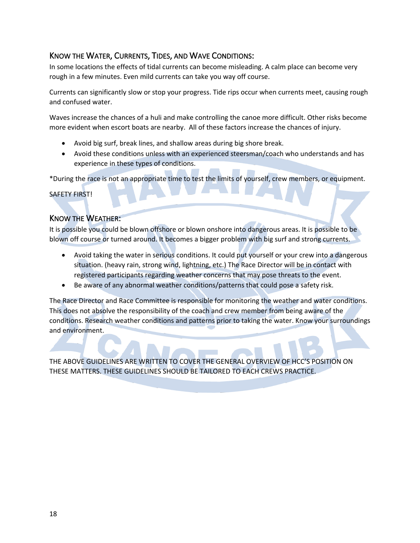#### KNOW THE WATER, CURRENTS, TIDES, AND WAVE CONDITIONS:

In some locations the effects of tidal currents can become misleading. A calm place can become very rough in a few minutes. Even mild currents can take you way off course.

Currents can significantly slow or stop your progress. Tide rips occur when currents meet, causing rough and confused water.

Waves increase the chances of a huli and make controlling the canoe more difficult. Other risks become more evident when escort boats are nearby. All of these factors increase the chances of injury.

- Avoid big surf, break lines, and shallow areas during big shore break.
- Avoid these conditions unless with an experienced steersman/coach who understands and has experience in these types of conditions.

\*During the race is not an appropriate time to test the limits of yourself, crew members, or equipment.

SAFETY FIRST!

#### KNOW THE WEATHER:

It is possible you could be blown offshore or blown onshore into dangerous areas. It is possible to be blown off course or turned around. It becomes a bigger problem with big surf and strong currents.

- Avoid taking the water in serious conditions. It could put yourself or your crew into a dangerous situation. (heavy rain, strong wind, lightning, etc.) The Race Director will be in contact with registered participants regarding weather concerns that may pose threats to the event.
- Be aware of any abnormal weather conditions/patterns that could pose a safety risk.

The Race Director and Race Committee is responsible for monitoring the weather and water conditions. This does not absolve the responsibility of the coach and crew member from being aware of the conditions. Research weather conditions and patterns prior to taking the water. Know your surroundings and environment.

THE ABOVE GUIDELINES ARE WRITTEN TO COVER THE GENERAL OVERVIEW OF HCC'S POSITION ON THESE MATTERS. THESE GUIDELINES SHOULD BE TAILORED TO EACH CREWS PRACTICE.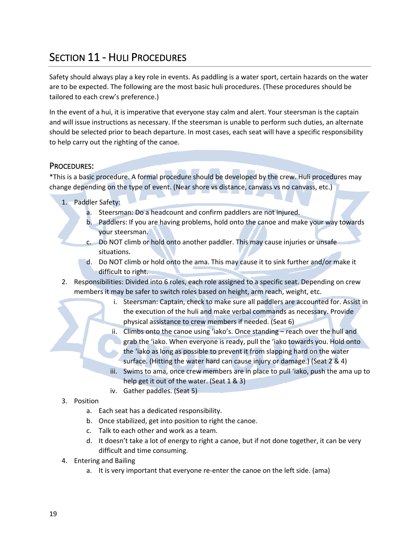### SECTION 11 - HULI PROCEDURES

Safety should always play a key role in events. As paddling is a water sport, certain hazards on the water are to be expected. The following are the most basic huli procedures. (These procedures should be tailored to each crew's preference.)

In the event of a hui, it is imperative that everyone stay calm and alert. Your steersman is the captain and will issue instructions as necessary. If the steersman is unable to perform such duties, an alternate should be selected prior to beach departure. In most cases, each seat will have a specific responsibility to help carry out the righting of the canoe.

#### PROCEDURES:

\*This is a basic procedure. A formal procedure should be developed by the crew. Huli procedures may change depending on the type of event. (Near shore vs distance, canvass vs no canvass, etc.)

- 1. Paddler Safety:
	- a. Steersman: Do a headcount and confirm paddlers are not injured.
	- b. Paddlers: If you are having problems, hold onto the canoe and make your way towards your steersman.
	- c. Do NOT climb or hold onto another paddler. This may cause injuries or unsafe situations.
	- d. Do NOT climb or hold onto the ama. This may cause it to sink further and/or make it difficult to right.
- 2. Responsibilities: Divided into 6 roles, each role assigned to a specific seat. Depending on crew members it may be safer to switch roles based on height, arm reach, weight, etc.
	- i. Steersman: Captain, check to make sure all paddlers are accounted for. Assist in the execution of the huli and make verbal commands as necessary. Provide physical assistance to crew members if needed. (Seat 6)
	- ii. Climbs onto the canoe using 'iako's. Once standing reach over the hull and grab the 'iako. When everyone is ready, pull the 'iako towards you. Hold onto the 'iako as long as possible to prevent it from slapping hard on the water surface. (Hitting the water hard can cause injury or damage.) (Seat 2 & 4)
	- iii. Swims to ama, once crew members are in place to pull 'iako, push the ama up to help get it out of the water. (Seat 1 & 3)
	- iv. Gather paddles. (Seat 5)

#### 3. Position

- a. Each seat has a dedicated responsibility.
- b. Once stabilized, get into position to right the canoe.
- c. Talk to each other and work as a team.
- d. It doesn't take a lot of energy to right a canoe, but if not done together, it can be very difficult and time consuming.
- 4. Entering and Bailing
	- a. It is very important that everyone re-enter the canoe on the left side. (ama)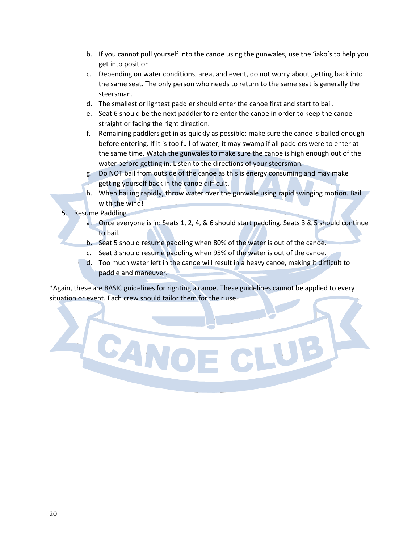- b. If you cannot pull yourself into the canoe using the gunwales, use the 'iako's to help you get into position.
- c. Depending on water conditions, area, and event, do not worry about getting back into the same seat. The only person who needs to return to the same seat is generally the steersman.
- d. The smallest or lightest paddler should enter the canoe first and start to bail.
- e. Seat 6 should be the next paddler to re-enter the canoe in order to keep the canoe straight or facing the right direction.
- f. Remaining paddlers get in as quickly as possible: make sure the canoe is bailed enough before entering. If it is too full of water, it may swamp if all paddlers were to enter at the same time. Watch the gunwales to make sure the canoe is high enough out of the water before getting in. Listen to the directions of your steersman.
- g. Do NOT bail from outside of the canoe as this is energy consuming and may make getting yourself back in the canoe difficult.
- h. When bailing rapidly, throw water over the gunwale using rapid swinging motion. Bail with the wind!
- 5. Resume Paddling

**SAR** 

- a. Once everyone is in: Seats 1, 2, 4, & 6 should start paddling. Seats 3 & 5 should continue to bail.
- b. Seat 5 should resume paddling when 80% of the water is out of the canoe.
- c. Seat 3 should resume paddling when 95% of the water is out of the canoe.
- d. Too much water left in the canoe will result in a heavy canoe, making it difficult to paddle and maneuver.

\*Again, these are BASIC guidelines for righting a canoe. These guidelines cannot be applied to every situation or event. Each crew should tailor them for their use.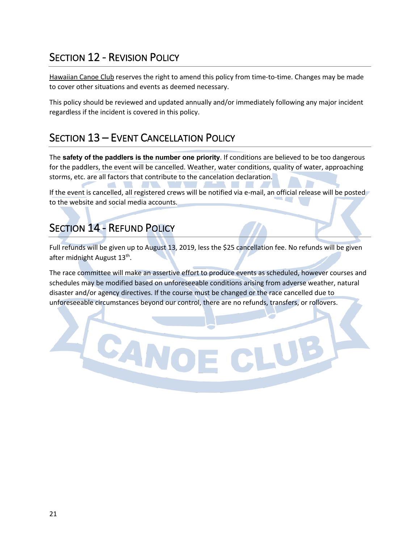### SECTION 12 - REVISION POLICY

Hawaiian Canoe Club reserves the right to amend this policy from time-to-time. Changes may be made to cover other situations and events as deemed necessary.

This policy should be reviewed and updated annually and/or immediately following any major incident regardless if the incident is covered in this policy.

### SECTION 13 – EVENT CANCELLATION POLICY

The **safety of the paddlers is the number one priority**. If conditions are believed to be too dangerous for the paddlers, the event will be cancelled. Weather, water conditions, quality of water, approaching storms, etc. are all factors that contribute to the cancelation declaration.

If the event is cancelled, all registered crews will be notified via e-mail, an official release will be posted to the website and social media accounts.

### **SECTION 14 - REFUND POLICY**

CANC

Full refunds will be given up to August 13, 2019, less the \$25 cancellation fee. No refunds will be given after midnight August 13<sup>th</sup>.

The race committee will make an assertive effort to produce events as scheduled, however courses and schedules may be modified based on unforeseeable conditions arising from adverse weather, natural disaster and/or agency directives. If the course must be changed or the race cancelled due to unforeseeable circumstances beyond our control, there are no refunds, transfers, or rollovers.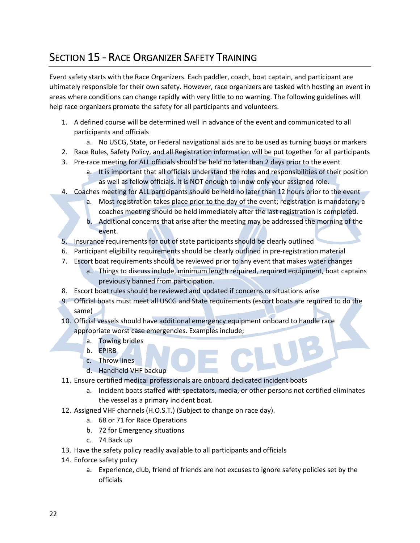### SECTION 15 - RACE ORGANIZER SAFETY TRAINING

Event safety starts with the Race Organizers. Each paddler, coach, boat captain, and participant are ultimately responsible for their own safety. However, race organizers are tasked with hosting an event in areas where conditions can change rapidly with very little to no warning. The following guidelines will help race organizers promote the safety for all participants and volunteers.

- 1. A defined course will be determined well in advance of the event and communicated to all participants and officials
	- a. No USCG, State, or Federal navigational aids are to be used as turning buoys or markers
- 2. Race Rules, Safety Policy, and all Registration information will be put together for all participants
- 3. Pre-race meeting for ALL officials should be held no later than 2 days prior to the event
	- a. It is important that all officials understand the roles and responsibilities of their position as well as fellow officials. It is NOT enough to know only your assigned role.
- 4. Coaches meeting for ALL participants should be held no later than 12 hours prior to the event
	- a. Most registration takes place prior to the day of the event; registration is mandatory; a coaches meeting should be held immediately after the last registration is completed.
	- b. Additional concerns that arise after the meeting may be addressed the morning of the event.
- 5. Insurance requirements for out of state participants should be clearly outlined
- 6. Participant eligibility requirements should be clearly outlined in pre-registration material
- 7. Escort boat requirements should be reviewed prior to any event that makes water changes
	- a. Things to discuss include, minimum length required, required equipment, boat captains previously banned from participation.
- 8. Escort boat rules should be reviewed and updated if concerns or situations arise
- 9. Official boats must meet all USCG and State requirements (escort boats are required to do the same)
- 10. Official vessels should have additional emergency equipment onboard to handle race appropriate worst case emergencies. Examples include;
	- a. Towing bridles
	- b. EPIRB
	- c. Throw lines
	- d. Handheld VHF backup
- 11. Ensure certified medical professionals are onboard dedicated incident boats
	- a. Incident boats staffed with spectators, media, or other persons not certified eliminates the vessel as a primary incident boat.
- 12. Assigned VHF channels (H.O.S.T.) (Subject to change on race day).
	- a. 68 or 71 for Race Operations
	- b. 72 for Emergency situations
	- c. 74 Back up
- 13. Have the safety policy readily available to all participants and officials
- 14. Enforce safety policy
	- a. Experience, club, friend of friends are not excuses to ignore safety policies set by the officials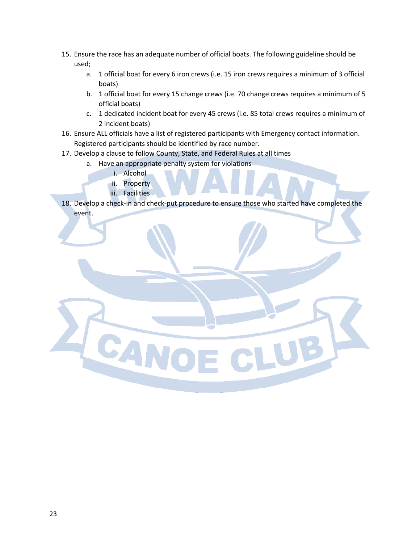- 15. Ensure the race has an adequate number of official boats. The following guideline should be used;
	- a. 1 official boat for every 6 iron crews (i.e. 15 iron crews requires a minimum of 3 official boats)
	- b. 1 official boat for every 15 change crews (i.e. 70 change crews requires a minimum of 5 official boats)
	- c. 1 dedicated incident boat for every 45 crews (i.e. 85 total crews requires a minimum of 2 incident boats)
- 16. Ensure ALL officials have a list of registered participants with Emergency contact information. Registered participants should be identified by race number.
- 17. Develop a clause to follow County, State, and Federal Rules at all times
	- a. Have an appropriate penalty system for violations
		- i. Alcohol
		- ii. Property
		- iii. Facilities

**SAN** 

18. Develop a check-in and check-put procedure to ensure those who started have completed the event.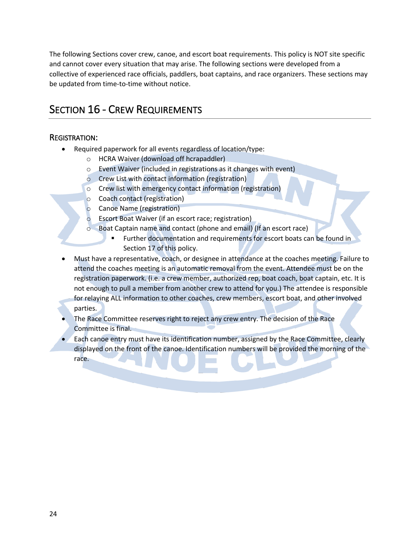The following Sections cover crew, canoe, and escort boat requirements. This policy is NOT site specific and cannot cover every situation that may arise. The following sections were developed from a collective of experienced race officials, paddlers, boat captains, and race organizers. These sections may be updated from time-to-time without notice.

### SECTION 16 - CREW REQUIREMENTS

#### REGISTRATION:

- Required paperwork for all events regardless of location/type:
	- o HCRA Waiver (download off hcrapaddler)
	- o Event Waiver (included in registrations as it changes with event)
	- o Crew List with contact information (registration)
	- o Crew list with emergency contact information (registration)
	- o Coach contact (registration)
	- o Canoe Name (registration)
	- o Escort Boat Waiver (if an escort race; registration)
	- Boat Captain name and contact (phone and email) (If an escort race)
		- § Further documentation and requirements for escort boats can be found in Section 17 of this policy.
- Must have a representative, coach, or designee in attendance at the coaches meeting. Failure to attend the coaches meeting is an automatic removal from the event. Attendee must be on the registration paperwork. (i.e. a crew member, authorized rep, boat coach, boat captain, etc. It is not enough to pull a member from another crew to attend for you.) The attendee is responsible for relaying ALL information to other coaches, crew members, escort boat, and other involved parties.
- The Race Committee reserves right to reject any crew entry. The decision of the Race Committee is final.
- Each canoe entry must have its identification number, assigned by the Race Committee, clearly displayed on the front of the canoe. Identification numbers will be provided the morning of the race.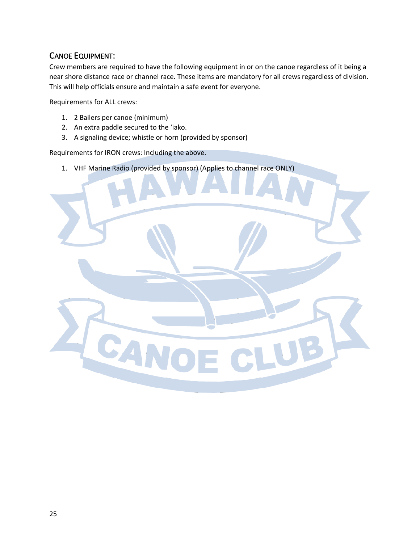#### CANOE EQUIPMENT:

Crew members are required to have the following equipment in or on the canoe regardless of it being a near shore distance race or channel race. These items are mandatory for all crews regardless of division. This will help officials ensure and maintain a safe event for everyone.

Requirements for ALL crews:

- 1. 2 Bailers per canoe (minimum)
- 2. An extra paddle secured to the 'iako.
- 3. A signaling device; whistle or horn (provided by sponsor)

Requirements for IRON crews: Including the above.

1. VHF Marine Radio (provided by sponsor) (Applies to channel race ONLY)

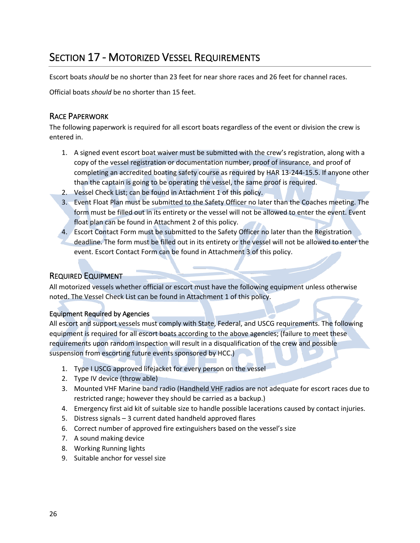### SECTION 17 - MOTORIZED VESSEL REQUIREMENTS

Escort boats *should* be no shorter than 23 feet for near shore races and 26 feet for channel races.

Official boats *should* be no shorter than 15 feet.

#### RACE PAPERWORK

The following paperwork is required for all escort boats regardless of the event or division the crew is entered in.

- 1. A signed event escort boat waiver must be submitted with the crew's registration, along with a copy of the vessel registration or documentation number, proof of insurance, and proof of completing an accredited boating safety course as required by HAR 13-244-15.5. If anyone other than the captain is going to be operating the vessel, the same proof is required.
- 2. Vessel Check List; can be found in Attachment 1 of this policy.
- 3. Event Float Plan must be submitted to the Safety Officer no later than the Coaches meeting. The form must be filled out in its entirety or the vessel will not be allowed to enter the event. Event float plan can be found in Attachment 2 of this policy.
- 4. Escort Contact Form must be submitted to the Safety Officer no later than the Registration deadline. The form must be filled out in its entirety or the vessel will not be allowed to enter the event. Escort Contact Form can be found in Attachment 3 of this policy.

#### REQUIRED EQUIPMENT

All motorized vessels whether official or escort must have the following equipment unless otherwise noted. The Vessel Check List can be found in Attachment 1 of this policy.

#### Equipment Required by Agencies

All escort and support vessels must comply with State, Federal, and USCG requirements. The following equipment is required for all escort boats according to the above agencies; (failure to meet these requirements upon random inspection will result in a disqualification of the crew and possible suspension from escorting future events sponsored by HCC.)

- 1. Type I USCG approved lifejacket for every person on the vessel
- 2. Type IV device (throw able)
- 3. Mounted VHF Marine band radio (Handheld VHF radios are not adequate for escort races due to restricted range; however they should be carried as a backup.)
- 4. Emergency first aid kit of suitable size to handle possible lacerations caused by contact injuries.
- 5. Distress signals 3 current dated handheld approved flares
- 6. Correct number of approved fire extinguishers based on the vessel's size
- 7. A sound making device
- 8. Working Running lights
- 9. Suitable anchor for vessel size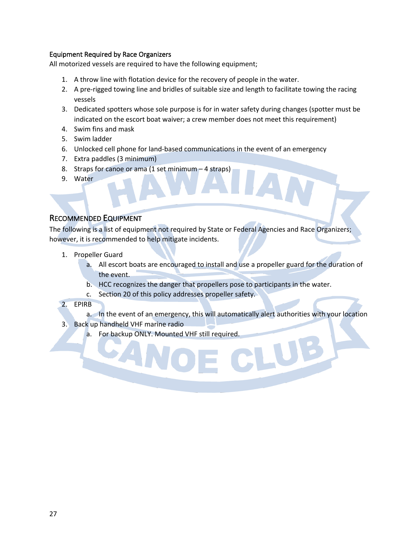#### Equipment Required by Race Organizers

All motorized vessels are required to have the following equipment;

- 1. A throw line with flotation device for the recovery of people in the water.
- 2. A pre-rigged towing line and bridles of suitable size and length to facilitate towing the racing vessels
- 3. Dedicated spotters whose sole purpose is for in water safety during changes (spotter must be indicated on the escort boat waiver; a crew member does not meet this requirement)
- 4. Swim fins and mask
- 5. Swim ladder
- 6. Unlocked cell phone for land-based communications in the event of an emergency
- 7. Extra paddles (3 minimum)
- 8. Straps for canoe or ama (1 set minimum 4 straps)
- 9. Water

#### RECOMMENDED EQUIPMENT

The following is a list of equipment not required by State or Federal Agencies and Race Organizers; however, it is recommended to help mitigate incidents.

- 1. Propeller Guard
	- a. All escort boats are encouraged to install and use a propeller guard for the duration of the event.
	- b. HCC recognizes the danger that propellers pose to participants in the water.
	- c. Section 20 of this policy addresses propeller safety.
- 2. EPIRB
	- a. In the event of an emergency, this will automatically alert authorities with your location
- 3. Back up handheld VHF marine radio
	- a. For backup ONLY. Mounted VHF still required.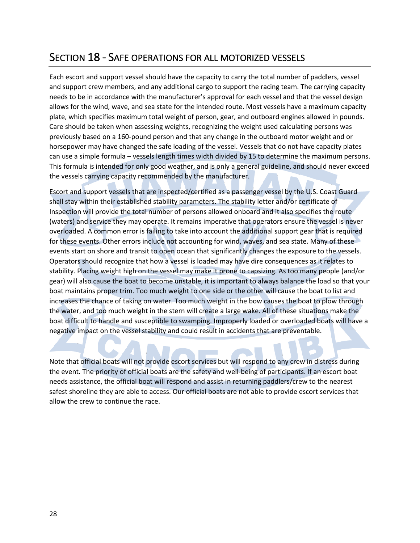### SECTION 18 - SAFE OPERATIONS FOR ALL MOTORIZED VESSELS

Each escort and support vessel should have the capacity to carry the total number of paddlers, vessel and support crew members, and any additional cargo to support the racing team. The carrying capacity needs to be in accordance with the manufacturer's approval for each vessel and that the vessel design allows for the wind, wave, and sea state for the intended route. Most vessels have a maximum capacity plate, which specifies maximum total weight of person, gear, and outboard engines allowed in pounds. Care should be taken when assessing weights, recognizing the weight used calculating persons was previously based on a 160-pound person and that any change in the outboard motor weight and or horsepower may have changed the safe loading of the vessel. Vessels that do not have capacity plates can use a simple formula – vessels length times width divided by 15 to determine the maximum persons. This formula is intended for only good weather, and is only a general guideline, and should never exceed the vessels carrying capacity recommended by the manufacturer.

Escort and support vessels that are inspected/certified as a passenger vessel by the U.S. Coast Guard shall stay within their established stability parameters. The stability letter and/or certificate of Inspection will provide the total number of persons allowed onboard and it also specifies the route (waters) and service they may operate. It remains imperative that operators ensure the vessel is never overloaded. A common error is failing to take into account the additional support gear that is required for these events. Other errors include not accounting for wind, waves, and sea state. Many of these events start on shore and transit to open ocean that significantly changes the exposure to the vessels. Operators should recognize that how a vessel is loaded may have dire consequences as it relates to stability. Placing weight high on the vessel may make it prone to capsizing. As too many people (and/or gear) will also cause the boat to become unstable, it is important to always balance the load so that your boat maintains proper trim. Too much weight to one side or the other will cause the boat to list and increases the chance of taking on water. Too much weight in the bow causes the boat to plow through the water, and too much weight in the stern will create a large wake. All of these situations make the boat difficult to handle and susceptible to swamping. Improperly loaded or overloaded boats will have a negative impact on the vessel stability and could result in accidents that are preventable.

Note that official boats will not provide escort services but will respond to any crew in distress during the event. The priority of official boats are the safety and well-being of participants. If an escort boat needs assistance, the official boat will respond and assist in returning paddlers/crew to the nearest safest shoreline they are able to access. Our official boats are not able to provide escort services that allow the crew to continue the race.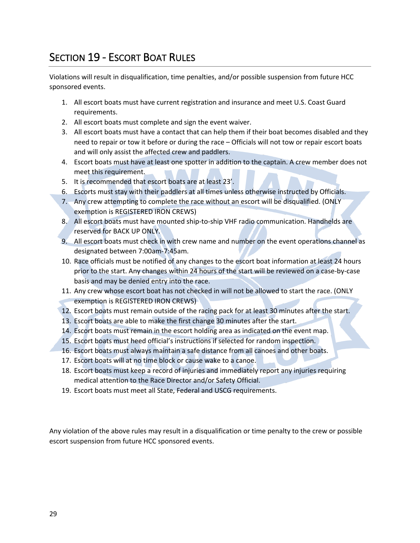### SECTION 19 - ESCORT BOAT RULES

Violations will result in disqualification, time penalties, and/or possible suspension from future HCC sponsored events.

- 1. All escort boats must have current registration and insurance and meet U.S. Coast Guard requirements.
- 2. All escort boats must complete and sign the event waiver.
- 3. All escort boats must have a contact that can help them if their boat becomes disabled and they need to repair or tow it before or during the race – Officials will not tow or repair escort boats and will only assist the affected crew and paddlers.
- 4. Escort boats must have at least one spotter in addition to the captain. A crew member does not meet this requirement.
- 5. It is recommended that escort boats are at least 23'.
- 6. Escorts must stay with their paddlers at all times unless otherwise instructed by Officials.
- 7. Any crew attempting to complete the race without an escort will be disqualified. (ONLY exemption is REGISTERED IRON CREWS)
- 8. All escort boats must have mounted ship-to-ship VHF radio communication. Handhelds are reserved for BACK UP ONLY.
- 9. All escort boats must check in with crew name and number on the event operations channel as designated between 7:00am-7:45am.
- 10. Race officials must be notified of any changes to the escort boat information at least 24 hours prior to the start. Any changes within 24 hours of the start will be reviewed on a case-by-case basis and may be denied entry into the race.
- 11. Any crew whose escort boat has not checked in will not be allowed to start the race. (ONLY exemption is REGISTERED IRON CREWS)
- 12. Escort boats must remain outside of the racing pack for at least 30 minutes after the start.
- 13. Escort boats are able to make the first change 30 minutes after the start.
- 14. Escort boats must remain in the escort holding area as indicated on the event map.
- 15. Escort boats must heed official's instructions if selected for random inspection.
- 16. Escort boats must always maintain a safe distance from all canoes and other boats.
- 17. Escort boats will at no time block or cause wake to a canoe.
- 18. Escort boats must keep a record of injuries and immediately report any injuries requiring medical attention to the Race Director and/or Safety Official.
- 19. Escort boats must meet all State, Federal and USCG requirements.

Any violation of the above rules may result in a disqualification or time penalty to the crew or possible escort suspension from future HCC sponsored events.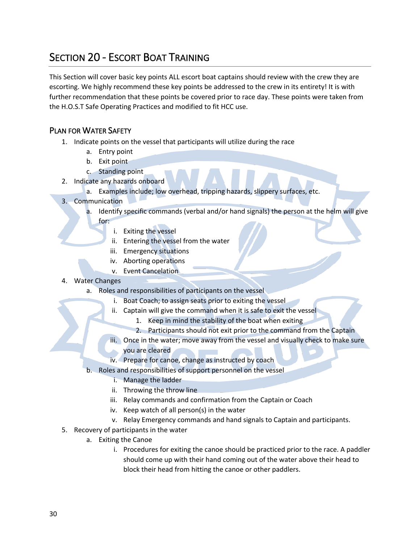### SECTION 20 - ESCORT BOAT TRAINING

This Section will cover basic key points ALL escort boat captains should review with the crew they are escorting. We highly recommend these key points be addressed to the crew in its entirety! It is with further recommendation that these points be covered prior to race day. These points were taken from the H.O.S.T Safe Operating Practices and modified to fit HCC use.

#### PLAN FOR WATER SAFETY

- 1. Indicate points on the vessel that participants will utilize during the race
	- a. Entry point
	- b. Exit point
	- c. Standing point
- 2. Indicate any hazards onboard
	- a. Examples include; low overhead, tripping hazards, slippery surfaces, etc.
- 3. Communication
	- a. Identify specific commands (verbal and/or hand signals) the person at the helm will give
		- for:
			- i. Exiting the vessel
			- ii. Entering the vessel from the water
			- iii. Emergency situations
			- iv. Aborting operations
			- v. Event Cancelation
- 4. Water Changes
	- a. Roles and responsibilities of participants on the vessel
		- i. Boat Coach; to assign seats prior to exiting the vessel
		- ii. Captain will give the command when it is safe to exit the vessel
			- 1. Keep in mind the stability of the boat when exiting
			- 2. Participants should not exit prior to the command from the Captain
		- iii. Once in the water; move away from the vessel and visually check to make sure
			- you are cleared
		- iv. Prepare for canoe, change as instructed by coach
	- b. Roles and responsibilities of support personnel on the vessel
		- i. Manage the ladder
		- ii. Throwing the throw line
		- iii. Relay commands and confirmation from the Captain or Coach
		- iv. Keep watch of all person(s) in the water
		- v. Relay Emergency commands and hand signals to Captain and participants.
- 5. Recovery of participants in the water
	- a. Exiting the Canoe
		- i. Procedures for exiting the canoe should be practiced prior to the race. A paddler should come up with their hand coming out of the water above their head to block their head from hitting the canoe or other paddlers.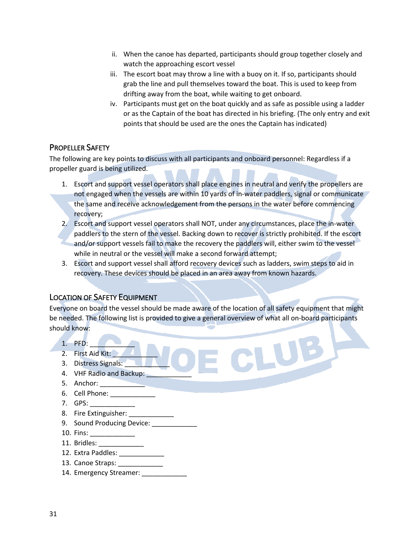- ii. When the canoe has departed, participants should group together closely and watch the approaching escort vessel
- iii. The escort boat may throw a line with a buoy on it. If so, participants should grab the line and pull themselves toward the boat. This is used to keep from drifting away from the boat, while waiting to get onboard.
- iv. Participants must get on the boat quickly and as safe as possible using a ladder or as the Captain of the boat has directed in his briefing. (The only entry and exit points that should be used are the ones the Captain has indicated)

#### PROPELLER SAFETY

The following are key points to discuss with all participants and onboard personnel: Regardless if a propeller guard is being utilized.

- 1. Escort and support vessel operators shall place engines in neutral and verify the propellers are not engaged when the vessels are within 10 yards of in-water paddlers, signal or communicate the same and receive acknowledgement from the persons in the water before commencing recovery;
- 2. Escort and support vessel operators shall NOT, under any circumstances, place the in-water paddlers to the stern of the vessel. Backing down to recover is strictly prohibited. If the escort and/or support vessels fail to make the recovery the paddlers will, either swim to the vessel while in neutral or the vessel will make a second forward attempt;
- 3. Escort and support vessel shall afford recovery devices such as ladders, swim steps to aid in recovery. These devices should be placed in an area away from known hazards.

#### LOCATION OF SAFETY EQUIPMENT

Everyone on board the vessel should be made aware of the location of all safety equipment that might be needed. The following list is provided to give a general overview of what all on-board participants should know:

- 1. PFD: \_\_\_\_\_\_\_\_\_\_\_\_
- 2. First Aid Kit:
- 3. Distress Signals:
- 4. VHF Radio and Backup:
- 5. Anchor:
- 6. Cell Phone:
- 7. GPS: \_\_\_\_\_\_\_\_\_\_\_\_
- 8. Fire Extinguisher:
- 9. Sound Producing Device:
- 10. Fins: \_\_\_\_\_\_\_\_\_\_\_\_\_\_\_
- 11. Bridles: \_\_\_\_\_\_\_\_\_\_\_\_
- 12. Extra Paddles: \_\_\_\_\_\_\_\_\_\_\_\_
- 13. Canoe Straps:
- 14. Emergency Streamer: \_\_\_\_\_\_\_\_\_\_\_\_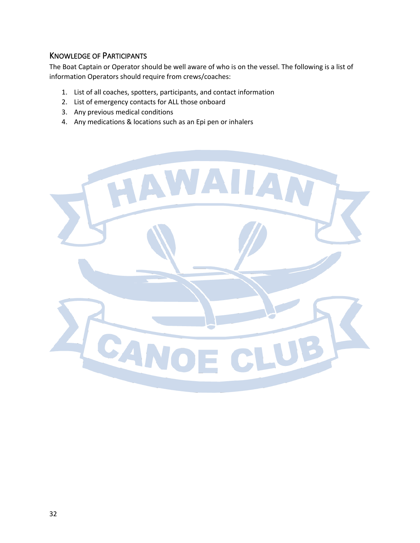#### KNOWLEDGE OF PARTICIPANTS

The Boat Captain or Operator should be well aware of who is on the vessel. The following is a list of information Operators should require from crews/coaches:

- 1. List of all coaches, spotters, participants, and contact information
- 2. List of emergency contacts for ALL those onboard
- 3. Any previous medical conditions
- 4. Any medications & locations such as an Epi pen or inhalers

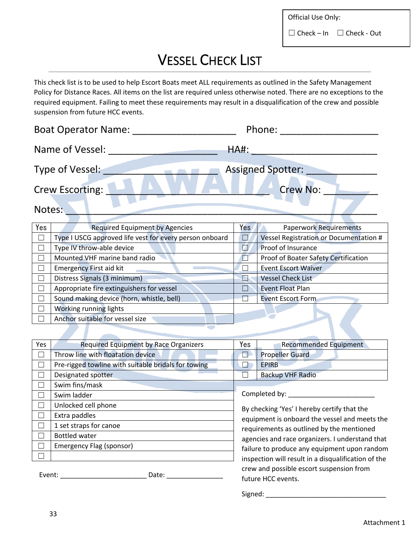Official Use Only:

 $\Box$  Check – In  $\Box$  Check - Out

## VESSEL CHECK LIST

This check list is to be used to help Escort Boats meet ALL requirements as outlined in the Safety Management Policy for Distance Races. All items on the list are required unless otherwise noted. There are no exceptions to the required equipment. Failing to meet these requirements may result in a disqualification of the crew and possible suspension from future HCC events.

| <b>Boat Operator Name:</b>                |                                                         |             | Phone:                                 |  |  |
|-------------------------------------------|---------------------------------------------------------|-------------|----------------------------------------|--|--|
|                                           | Name of Vessel:                                         | <b>HA#:</b> |                                        |  |  |
| Type of Vessel:                           |                                                         |             | <b>Assigned Spotter:</b>               |  |  |
| <b>Crew No:</b><br><b>Crew Escorting:</b> |                                                         |             |                                        |  |  |
| Notes:                                    |                                                         |             |                                        |  |  |
| Yes                                       | <b>Required Equipment by Agencies</b>                   | Yes         | <b>Paperwork Requirements</b>          |  |  |
| $\perp$                                   | Type I USCG approved life vest for every person onboard | IJ          | Vessel Registration or Documentation # |  |  |
|                                           | Type IV throw-able device                               | V.          | Proof of Insurance                     |  |  |
|                                           | Mounted VHF marine band radio                           |             | Proof of Boater Safety Certification   |  |  |
| $\vert \ \ \vert$                         | <b>Emergency First aid kit</b>                          |             | <b>Event Escort Waiver</b>             |  |  |
| $\Box$                                    | Distress Signals (3 minimum)                            | I٦          | <b>Vessel Check List</b>               |  |  |
| $\Box$                                    | Appropriate fire extinguishers for vessel               |             | <b>Event Float Plan</b>                |  |  |
|                                           | Sound making device (horn, whistle, bell)               |             | <b>Event Escort Form</b>               |  |  |
|                                           | Working running lights                                  |             |                                        |  |  |
|                                           | Anchor suitable for vessel size                         |             |                                        |  |  |
|                                           |                                                         |             |                                        |  |  |

| Yes    | <b>Required Equipment by Race Organizers</b>        | Yes                                       | <b>Recommended Equipment</b>                        |
|--------|-----------------------------------------------------|-------------------------------------------|-----------------------------------------------------|
|        | Throw line with floatation device                   | $\mathbb{N}$                              | <b>Propeller Guard</b>                              |
|        | Pre-rigged towline with suitable bridals for towing |                                           | <b>EPIRB</b>                                        |
|        | Designated spotter                                  |                                           | <b>Backup VHF Radio</b>                             |
|        | Swim fins/mask                                      |                                           |                                                     |
|        | Swim ladder                                         |                                           | Completed by:                                       |
|        | Unlocked cell phone                                 |                                           | By checking 'Yes' I hereby certify that the         |
|        | Extra paddles                                       |                                           | equipment is onboard the vessel and meets the       |
|        | 1 set straps for canoe                              | requirements as outlined by the mentioned |                                                     |
| - 1    | <b>Bottled water</b>                                |                                           | agencies and race organizers. I understand that     |
|        | Emergency Flag (sponsor)                            |                                           | failure to produce any equipment upon random        |
|        |                                                     |                                           | inspection will result in a disqualification of the |
|        |                                                     |                                           | crew and possible escort suspension from            |
| Event: | Date:                                               |                                           | future HCC events.                                  |

Signed:  $\Box$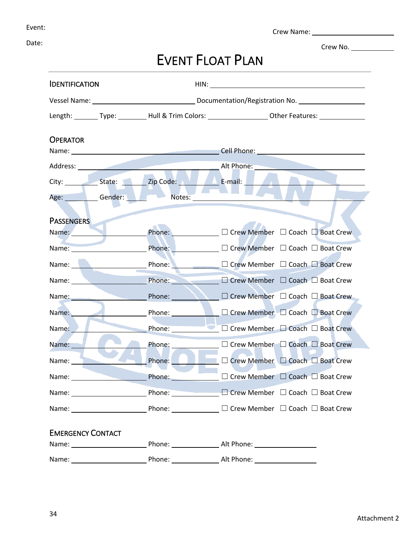Crew Name:

Crew No.

Date:

## EVENT FLOAT PLAN

|                                                                                                                                                                                                                               | Length: _________ Type: __________ Hull & Trim Colors: _____________________ Other Features: _____________                                                                                                                                                                     |  |  |  |  |
|-------------------------------------------------------------------------------------------------------------------------------------------------------------------------------------------------------------------------------|--------------------------------------------------------------------------------------------------------------------------------------------------------------------------------------------------------------------------------------------------------------------------------|--|--|--|--|
|                                                                                                                                                                                                                               |                                                                                                                                                                                                                                                                                |  |  |  |  |
|                                                                                                                                                                                                                               |                                                                                                                                                                                                                                                                                |  |  |  |  |
|                                                                                                                                                                                                                               |                                                                                                                                                                                                                                                                                |  |  |  |  |
|                                                                                                                                                                                                                               |                                                                                                                                                                                                                                                                                |  |  |  |  |
| Notes:                                                                                                                                                                                                                        |                                                                                                                                                                                                                                                                                |  |  |  |  |
|                                                                                                                                                                                                                               |                                                                                                                                                                                                                                                                                |  |  |  |  |
|                                                                                                                                                                                                                               |                                                                                                                                                                                                                                                                                |  |  |  |  |
|                                                                                                                                                                                                                               | Phone: <u>Designed</u> D Crew Member D Coach D Boat Crew                                                                                                                                                                                                                       |  |  |  |  |
| Name: Name:                                                                                                                                                                                                                   |                                                                                                                                                                                                                                                                                |  |  |  |  |
| Name: Name and Name and Name and Name and Name and Name and Name and Name and Name and Name and Name and Name and Name and Name and Name and Name and Name and Name and Name and Name and Name and Name and Name and Name and |                                                                                                                                                                                                                                                                                |  |  |  |  |
| Name: Name:                                                                                                                                                                                                                   | Phone: D Crew Member □ Coach □ Boat Crew                                                                                                                                                                                                                                       |  |  |  |  |
| Name: Name:                                                                                                                                                                                                                   | Phone: <u>□ △ □</u> Crew Member □ Coach □ Boat Crew                                                                                                                                                                                                                            |  |  |  |  |
| Phone: 2000                                                                                                                                                                                                                   | □ Crew Member □ Coach □ Boat Crew<br><b>CONTRACTOR</b>                                                                                                                                                                                                                         |  |  |  |  |
| Phone:                                                                                                                                                                                                                        | $\Box$ Crew Member $\Box$ Coach $\Box$ Boat Crew                                                                                                                                                                                                                               |  |  |  |  |
| Phone: _____________                                                                                                                                                                                                          | □ Crew Member □ Coach □ Boat Crew                                                                                                                                                                                                                                              |  |  |  |  |
| Phone:                                                                                                                                                                                                                        | □ Crew Member □ Coach □ Boat Crew                                                                                                                                                                                                                                              |  |  |  |  |
|                                                                                                                                                                                                                               | Phone: □ □ Crew Member □ Coach □ Boat Crew                                                                                                                                                                                                                                     |  |  |  |  |
|                                                                                                                                                                                                                               |                                                                                                                                                                                                                                                                                |  |  |  |  |
|                                                                                                                                                                                                                               | Phone: ___________ □ Crew Member □ Coach □ Boat Crew                                                                                                                                                                                                                           |  |  |  |  |
|                                                                                                                                                                                                                               |                                                                                                                                                                                                                                                                                |  |  |  |  |
|                                                                                                                                                                                                                               |                                                                                                                                                                                                                                                                                |  |  |  |  |
|                                                                                                                                                                                                                               | Alt Phone:                                                                                                                                                                                                                                                                     |  |  |  |  |
|                                                                                                                                                                                                                               | Age: Gender:<br>Phone: Alt Phone: Alt Phone:<br>Phone: and the state of the state of the state of the state of the state of the state of the state of the state of the state of the state of the state of the state of the state of the state of the state of the state of the |  |  |  |  |